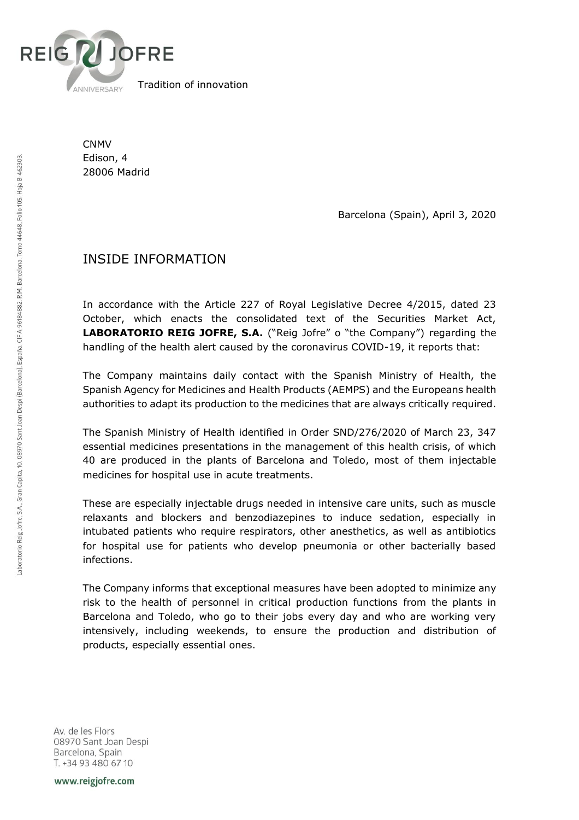

Tradition of innovation

CNMV Edison, 4 28006 Madrid

Barcelona (Spain), April 3, 2020

## INSIDE INFORMATION

In accordance with the Article 227 of Royal Legislative Decree 4/2015, dated 23 October, which enacts the consolidated text of the Securities Market Act, **LABORATORIO REIG JOFRE, S.A.** ("Reig Jofre" o "the Company") regarding the handling of the health alert caused by the coronavirus COVID-19, it reports that:

The Company maintains daily contact with the Spanish Ministry of Health, the Spanish Agency for Medicines and Health Products (AEMPS) and the Europeans health authorities to adapt its production to the medicines that are always critically required.

The Spanish Ministry of Health identified in Order SND/276/2020 of March 23, 347 essential medicines presentations in the management of this health crisis, of which 40 are produced in the plants of Barcelona and Toledo, most of them injectable medicines for hospital use in acute treatments.

These are especially injectable drugs needed in intensive care units, such as muscle relaxants and blockers and benzodiazepines to induce sedation, especially in intubated patients who require respirators, other anesthetics, as well as antibiotics for hospital use for patients who develop pneumonia or other bacterially based infections.

The Company informs that exceptional measures have been adopted to minimize any risk to the health of personnel in critical production functions from the plants in Barcelona and Toledo, who go to their jobs every day and who are working very intensively, including weekends, to ensure the production and distribution of products, especially essential ones.

Av. de les Flors 08970 Sant Joan Despi Barcelona, Spain T. +34 93 480 67 10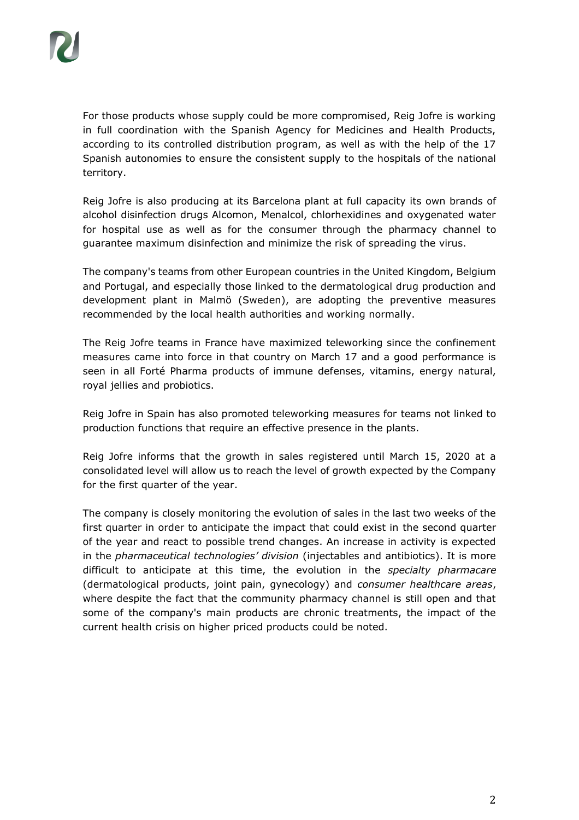For those products whose supply could be more compromised, Reig Jofre is working in full coordination with the Spanish Agency for Medicines and Health Products, according to its controlled distribution program, as well as with the help of the 17 Spanish autonomies to ensure the consistent supply to the hospitals of the national territory.

Reig Jofre is also producing at its Barcelona plant at full capacity its own brands of alcohol disinfection drugs Alcomon, Menalcol, chlorhexidines and oxygenated water for hospital use as well as for the consumer through the pharmacy channel to guarantee maximum disinfection and minimize the risk of spreading the virus.

The company's teams from other European countries in the United Kingdom, Belgium and Portugal, and especially those linked to the dermatological drug production and development plant in Malmö (Sweden), are adopting the preventive measures recommended by the local health authorities and working normally.

The Reig Jofre teams in France have maximized teleworking since the confinement measures came into force in that country on March 17 and a good performance is seen in all Forté Pharma products of immune defenses, vitamins, energy natural, royal jellies and probiotics.

Reig Jofre in Spain has also promoted teleworking measures for teams not linked to production functions that require an effective presence in the plants.

Reig Jofre informs that the growth in sales registered until March 15, 2020 at a consolidated level will allow us to reach the level of growth expected by the Company for the first quarter of the year.

The company is closely monitoring the evolution of sales in the last two weeks of the first quarter in order to anticipate the impact that could exist in the second quarter of the year and react to possible trend changes. An increase in activity is expected in the *pharmaceutical technologies' division* (injectables and antibiotics). It is more difficult to anticipate at this time, the evolution in the *specialty pharmacare* (dermatological products, joint pain, gynecology) and *consumer healthcare areas*, where despite the fact that the community pharmacy channel is still open and that some of the company's main products are chronic treatments, the impact of the current health crisis on higher priced products could be noted.